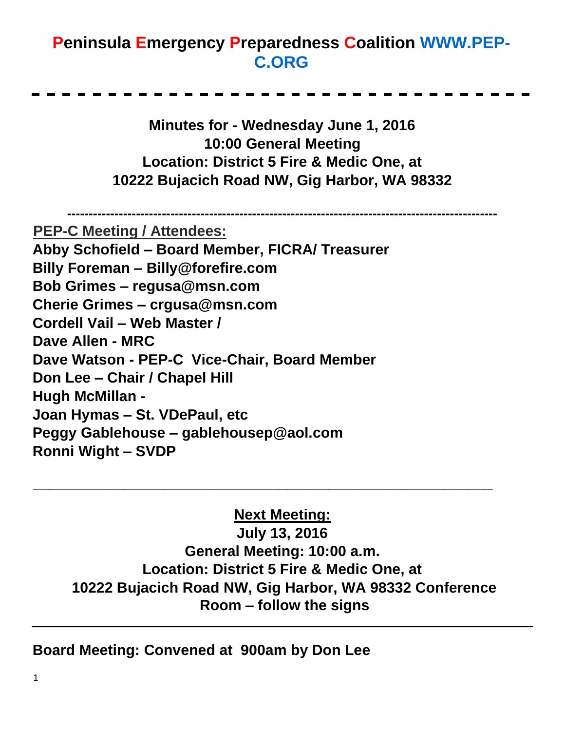## **Peninsula Emergency Preparedness Coalition [WWW.PEP-](http://www.pep-c.org/)[C.ORG](http://www.pep-c.org/)**

**Minutes for - Wednesday June 1, 2016 10:00 General Meeting Location: District 5 Fire & Medic One, at 10222 Bujacich Road NW, Gig Harbor, WA 98332** 

**----------------------------------------------------------------------------------------------------**

**PEP-C Meeting / Attendees:**

**Abby Schofield – Board Member, FICRA/ Treasurer Billy Foreman – Billy@forefire.com** 

**Bob Grimes – regusa@msn.com** 

**Cherie Grimes – crgusa@msn.com** 

**Cordell Vail – Web Master /** 

**Dave Allen - MRC** 

**Dave Watson - PEP-C Vice-Chair, Board Member** 

**Don Lee – Chair / Chapel Hill** 

**Hugh McMillan -** 

**Joan Hymas – St. VDePaul, etc** 

**Peggy Gablehouse – gablehousep@aol.com** 

**Ronni Wight – SVDP** 

## **Next Meeting:**

**\_\_\_\_\_\_\_\_\_\_\_\_\_\_\_\_\_\_\_\_\_\_\_\_\_\_\_\_\_\_\_\_\_\_\_\_\_\_\_\_\_\_\_\_\_\_\_\_\_\_\_\_\_\_\_\_**

**July 13, 2016 General Meeting: 10:00 a.m. Location: District 5 Fire & Medic One, at 10222 Bujacich Road NW, Gig Harbor, WA 98332 Conference Room – follow the signs** 

**Board Meeting: Convened at 900am by Don Lee**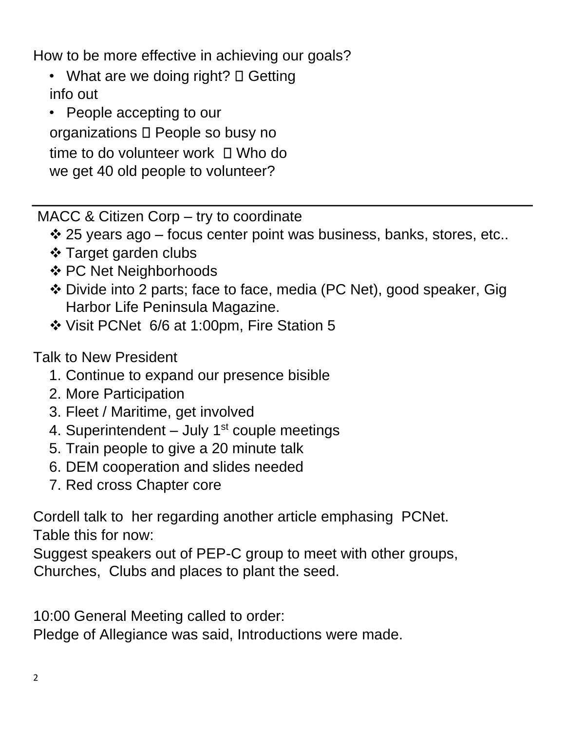How to be more effective in achieving our goals?

- What are we doing right?  $\Box$  Getting info out
- People accepting to our organizations D People so busy no time to do volunteer work  $\Box$  Who do we get 40 old people to volunteer?

MACC & Citizen Corp – try to coordinate

 $\div$  25 years ago – focus center point was business, banks, stores, etc..

- ❖ Target garden clubs
- ❖ PC Net Neighborhoods
- ❖ Divide into 2 parts; face to face, media (PC Net), good speaker, Gig Harbor Life Peninsula Magazine.
- ❖ Visit PCNet 6/6 at 1:00pm, Fire Station 5

Talk to New President

- 1. Continue to expand our presence bisible
- 2. More Participation
- 3. Fleet / Maritime, get involved
- 4. Superintendent  $-$  July 1 $st$  couple meetings
- 5. Train people to give a 20 minute talk
- 6. DEM cooperation and slides needed
- 7. Red cross Chapter core

Cordell talk to her regarding another article emphasing PCNet. Table this for now:

Suggest speakers out of PEP-C group to meet with other groups, Churches, Clubs and places to plant the seed.

10:00 General Meeting called to order:

Pledge of Allegiance was said, Introductions were made.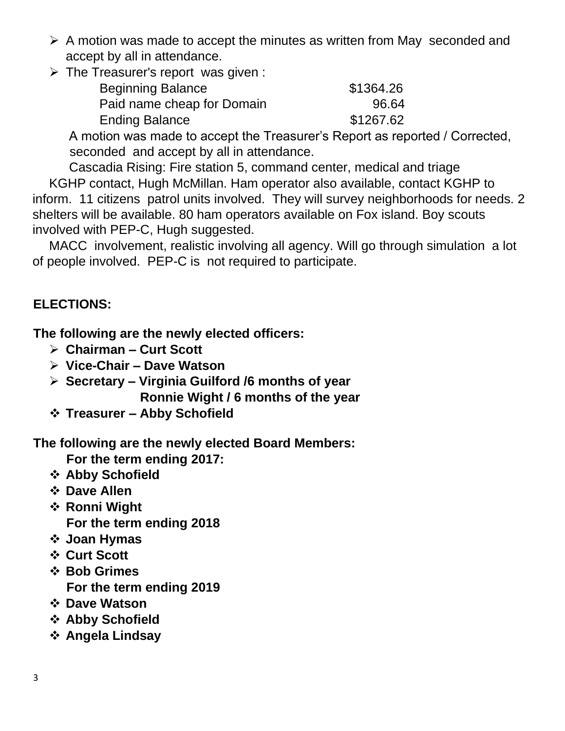- ➢ A motion was made to accept the minutes as written from May seconded and accept by all in attendance.
- ➢ The Treasurer's report was given :

| <b>Beginning Balance</b>   | \$1364.26 |
|----------------------------|-----------|
| Paid name cheap for Domain | 96.64     |
| <b>Ending Balance</b>      | \$1267.62 |

A motion was made to accept the Treasurer's Report as reported / Corrected, seconded and accept by all in attendance.

Cascadia Rising: Fire station 5, command center, medical and triage KGHP contact, Hugh McMillan. Ham operator also available, contact KGHP to inform. 11 citizens patrol units involved. They will survey neighborhoods for needs. 2 shelters will be available. 80 ham operators available on Fox island. Boy scouts involved with PEP-C, Hugh suggested.

MACC involvement, realistic involving all agency. Will go through simulation a lot of people involved. PEP-C is not required to participate.

## **ELECTIONS:**

**The following are the newly elected officers:** 

- ➢ **Chairman – Curt Scott**
- ➢ **Vice-Chair – Dave Watson**
- ➢ **Secretary – Virginia Guilford /6 months of year Ronnie Wight / 6 months of the year**
- ❖ **Treasurer – Abby Schofield**

**The following are the newly elected Board Members:** 

**For the term ending 2017:** 

- ❖ **Abby Schofield**
- ❖ **Dave Allen**
- ❖ **Ronni Wight For the term ending 2018**
- ❖ **Joan Hymas**
- ❖ **Curt Scott**
- ❖ **Bob Grimes For the term ending 2019**
- ❖ **Dave Watson**
- ❖ **Abby Schofield**
- ❖ **Angela Lindsay**